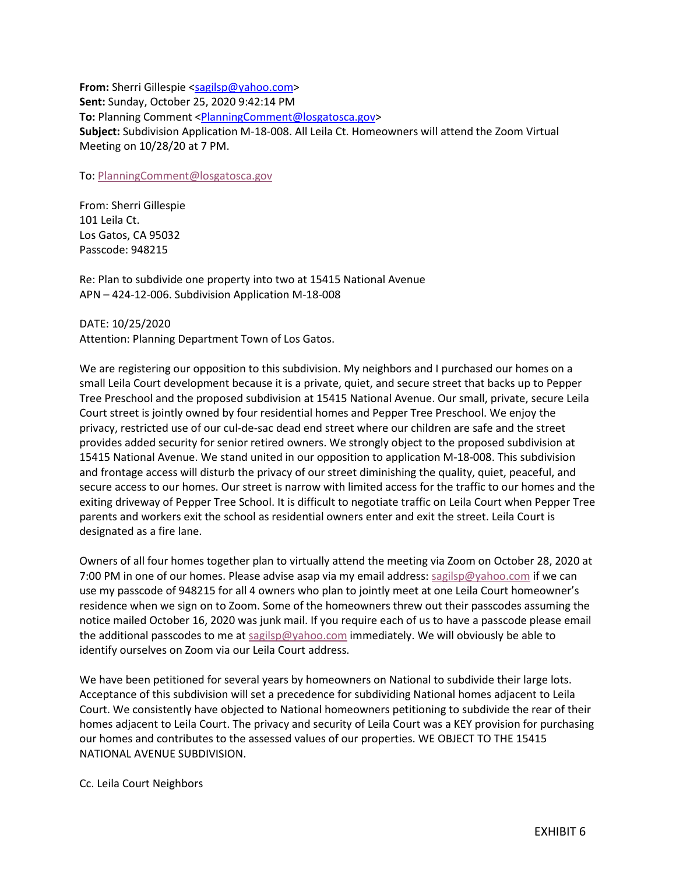**From:** Sherri Gillespie [<sagilsp@yahoo.com>](mailto:sagilsp@yahoo.com) **Sent:** Sunday, October 25, 2020 9:42:14 PM **To:** Planning Comment [<PlanningComment@losgatosca.gov>](mailto:PlanningComment@losgatosca.gov) **Subject:** Subdivision Application M-18-008. All Leila Ct. Homeowners will attend the Zoom Virtual Meeting on 10/28/20 at 7 PM.

To: [PlanningComment@losgatosca.gov](mailto:PlanningComment@losgatosca.gov)

From: Sherri Gillespie 101 Leila Ct. Los Gatos, CA 95032 Passcode: 948215

Re: Plan to subdivide one property into two at 15415 National Avenue APN – 424-12-006. Subdivision Application M-18-008

DATE: 10/25/2020

Attention: Planning Department Town of Los Gatos.

We are registering our opposition to this subdivision. My neighbors and I purchased our homes on a small Leila Court development because it is a private, quiet, and secure street that backs up to Pepper Tree Preschool and the proposed subdivision at 15415 National Avenue. Our small, private, secure Leila Court street is jointly owned by four residential homes and Pepper Tree Preschool. We enjoy the privacy, restricted use of our cul-de-sac dead end street where our children are safe and the street provides added security for senior retired owners. We strongly object to the proposed subdivision at 15415 National Avenue. We stand united in our opposition to application M-18-008. This subdivision and frontage access will disturb the privacy of our street diminishing the quality, quiet, peaceful, and secure access to our homes. Our street is narrow with limited access for the traffic to our homes and the exiting driveway of Pepper Tree School. It is difficult to negotiate traffic on Leila Court when Pepper Tree parents and workers exit the school as residential owners enter and exit the street. Leila Court is designated as a fire lane.

Owners of all four homes together plan to virtually attend the meeting via Zoom on October 28, 2020 at 7:00 PM in one of our homes. Please advise asap via my email address: [sagilsp@yahoo.com](mailto:sagilsp@yahoo.com) if we can use my passcode of 948215 for all 4 owners who plan to jointly meet at one Leila Court homeowner's residence when we sign on to Zoom. Some of the homeowners threw out their passcodes assuming the notice mailed October 16, 2020 was junk mail. If you require each of us to have a passcode please email the additional passcodes to me at [sagilsp@yahoo.com](mailto:sagilsp@yahoo.com) immediately. We will obviously be able to identify ourselves on Zoom via our Leila Court address.

We have been petitioned for several years by homeowners on National to subdivide their large lots. Acceptance of this subdivision will set a precedence for subdividing National homes adjacent to Leila Court. We consistently have objected to National homeowners petitioning to subdivide the rear of their homes adjacent to Leila Court. The privacy and security of Leila Court was a KEY provision for purchasing our homes and contributes to the assessed values of our properties. WE OBJECT TO THE 15415 NATIONAL AVENUE SUBDIVISION.

Cc. Leila Court Neighbors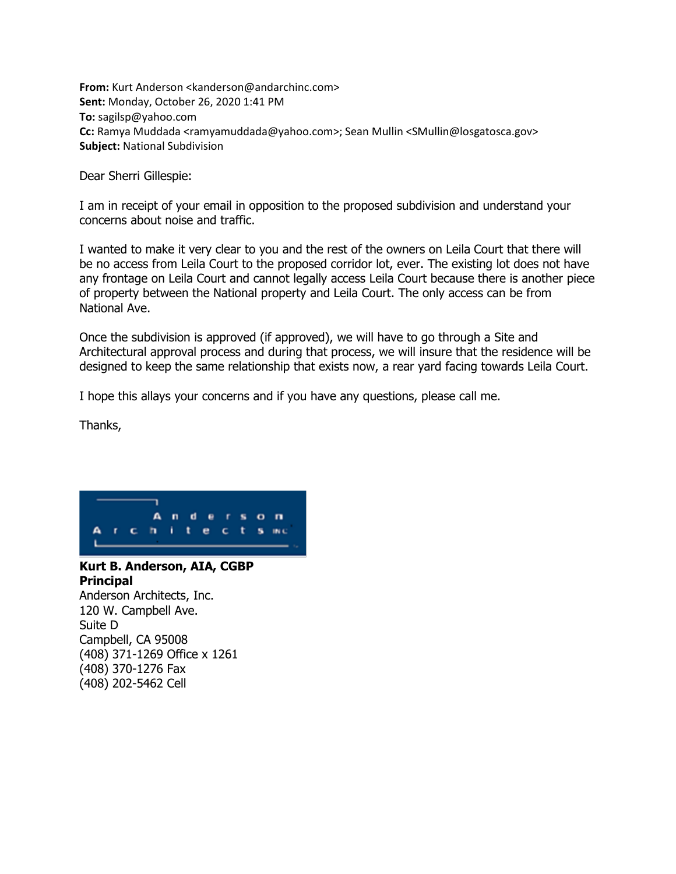**From:** Kurt Anderson <kanderson@andarchinc.com> **Sent:** Monday, October 26, 2020 1:41 PM **To:** sagilsp@yahoo.com **Cc:** Ramya Muddada <ramyamuddada@yahoo.com>; Sean Mullin <SMullin@losgatosca.gov> **Subject:** National Subdivision

Dear Sherri Gillespie:

I am in receipt of your email in opposition to the proposed subdivision and understand your concerns about noise and traffic.

I wanted to make it very clear to you and the rest of the owners on Leila Court that there will be no access from Leila Court to the proposed corridor lot, ever. The existing lot does not have any frontage on Leila Court and cannot legally access Leila Court because there is another piece of property between the National property and Leila Court. The only access can be from National Ave.

Once the subdivision is approved (if approved), we will have to go through a Site and Architectural approval process and during that process, we will insure that the residence will be designed to keep the same relationship that exists now, a rear yard facing towards Leila Court.

I hope this allays your concerns and if you have any questions, please call me.

Thanks,



## **Kurt B. Anderson, AIA, CGBP Principal**

Anderson Architects, Inc. 120 W. Campbell Ave. Suite D Campbell, CA 95008 (408) 371-1269 Office x 1261 (408) 370-1276 Fax (408) 202-5462 Cell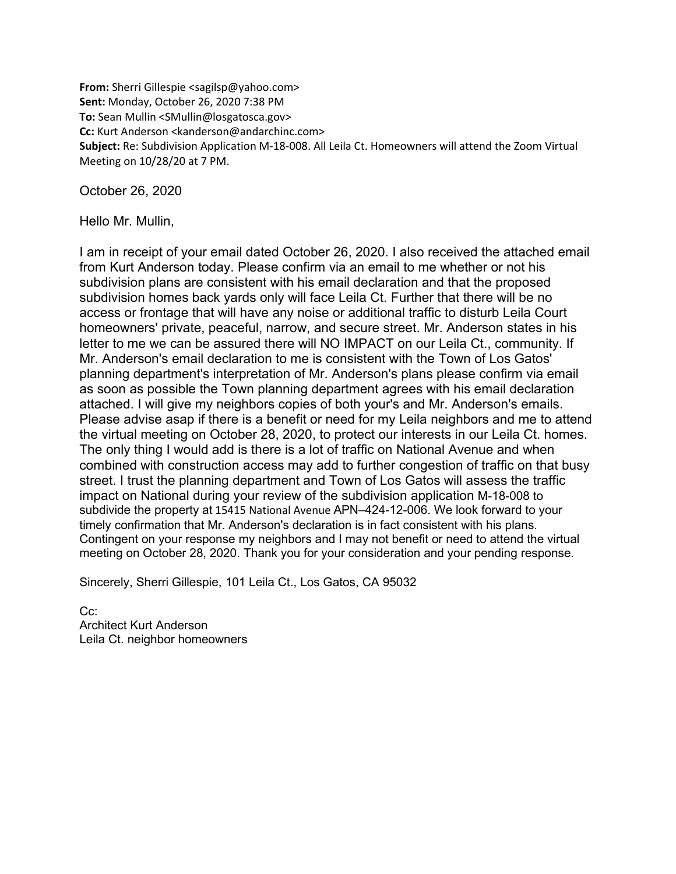**From:** Sherri Gillespie <sagilsp@yahoo.com> **Sent:** Monday, October 26, 2020 7:38 PM **To:** Sean Mullin <SMullin@losgatosca.gov> **Cc:** Kurt Anderson <kanderson@andarchinc.com> **Subject:** Re: Subdivision Application M-18-008. All Leila Ct. Homeowners will attend the Zoom Virtual Meeting on 10/28/20 at 7 PM.

October 26, 2020

Hello Mr. Mullin,

I am in receipt of your email dated October 26, 2020. I also received the attached email from Kurt Anderson today. Please confirm via an email to me whether or not his subdivision plans are consistent with his email declaration and that the proposed subdivision homes back yards only will face Leila Ct. Further that there will be no access or frontage that will have any noise or additional traffic to disturb Leila Court homeowners' private, peaceful, narrow, and secure street. Mr. Anderson states in his letter to me we can be assured there will NO IMPACT on our Leila Ct., community. If Mr. Anderson's email declaration to me is consistent with the Town of Los Gatos' planning department's interpretation of Mr. Anderson's plans please confirm via email as soon as possible the Town planning department agrees with his email declaration attached. I will give my neighbors copies of both your's and Mr. Anderson's emails. Please advise asap if there is a benefit or need for my Leila neighbors and me to attend the virtual meeting on October 28, 2020, to protect our interests in our Leila Ct. homes. The only thing I would add is there is a lot of traffic on National Avenue and when combined with construction access may add to further congestion of traffic on that busy street. I trust the planning department and Town of Los Gatos will assess the traffic impact on National during your review of the subdivision application M-18-008 to subdivide the property at 15415 National Avenue APN–424-12-006. We look forward to your timely confirmation that Mr. Anderson's declaration is in fact consistent with his plans. Contingent on your response my neighbors and I may not benefit or need to attend the virtual meeting on October 28, 2020. Thank you for your consideration and your pending response.

Sincerely, Sherri Gillespie, 101 Leila Ct., Los Gatos, CA 95032

C<sub>c</sub>: Architect Kurt Anderson Leila Ct. neighbor homeowners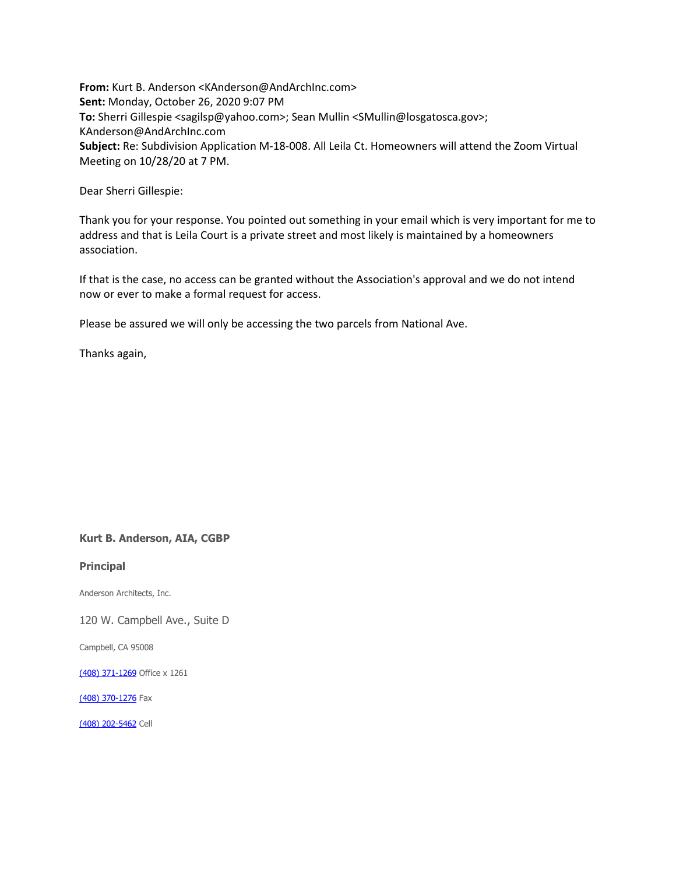**From:** Kurt B. Anderson <KAnderson@AndArchInc.com> **Sent:** Monday, October 26, 2020 9:07 PM **To:** Sherri Gillespie <sagilsp@yahoo.com>; Sean Mullin <SMullin@losgatosca.gov>; KAnderson@AndArchInc.com **Subject:** Re: Subdivision Application M-18-008. All Leila Ct. Homeowners will attend the Zoom Virtual Meeting on 10/28/20 at 7 PM.

Dear Sherri Gillespie:

Thank you for your response. You pointed out something in your email which is very important for me to address and that is Leila Court is a private street and most likely is maintained by a homeowners association.

If that is the case, no access can be granted without the Association's approval and we do not intend now or ever to make a formal request for access.

Please be assured we will only be accessing the two parcels from National Ave.

Thanks again,

## **Kurt B. Anderson, AIA, CGBP**

**Principal**

Anderson Architects, Inc.

120 W. Campbell Ave., Suite D

Campbell, CA 95008

[\(408\) 371-1269](tel:(408)%20371-1269) Office x 1261

[\(408\) 370-1276](tel:(408)%20370-1276) Fax

[\(408\) 202-5462](tel:(408)%20202-5462) Cell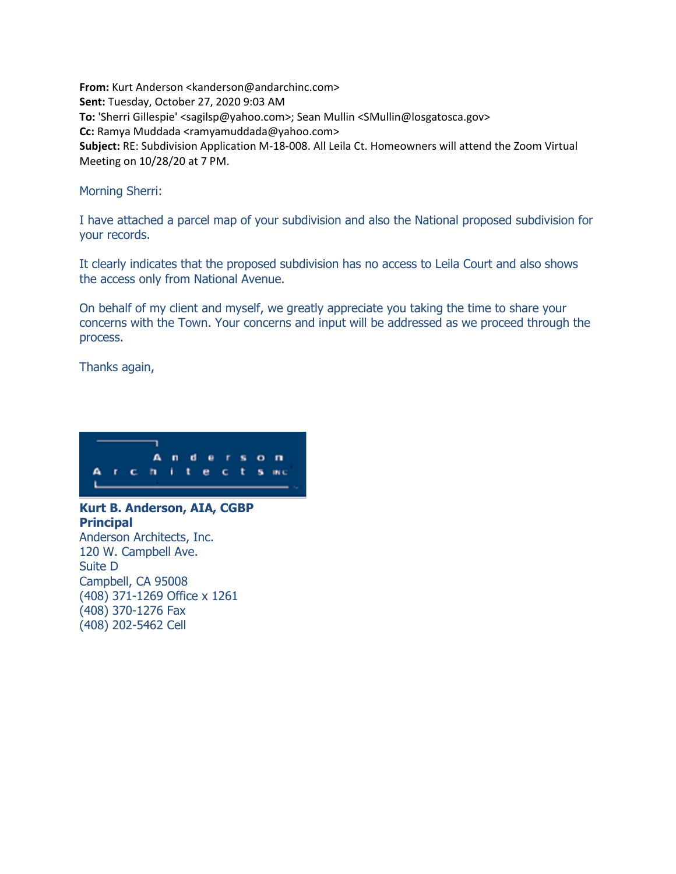**From:** Kurt Anderson <kanderson@andarchinc.com> **Sent:** Tuesday, October 27, 2020 9:03 AM **To:** 'Sherri Gillespie' <sagilsp@yahoo.com>; Sean Mullin <SMullin@losgatosca.gov> **Cc:** Ramya Muddada <ramyamuddada@yahoo.com> **Subject:** RE: Subdivision Application M-18-008. All Leila Ct. Homeowners will attend the Zoom Virtual Meeting on 10/28/20 at 7 PM.

Morning Sherri:

I have attached a parcel map of your subdivision and also the National proposed subdivision for your records.

It clearly indicates that the proposed subdivision has no access to Leila Court and also shows the access only from National Avenue.

On behalf of my client and myself, we greatly appreciate you taking the time to share your concerns with the Town. Your concerns and input will be addressed as we proceed through the process.

Thanks again,



**Kurt B. Anderson, AIA, CGBP Principal** Anderson Architects, Inc. 120 W. Campbell Ave. Suite D Campbell, CA 95008 (408) 371-1269 Office x 1261 (408) 370-1276 Fax (408) 202-5462 Cell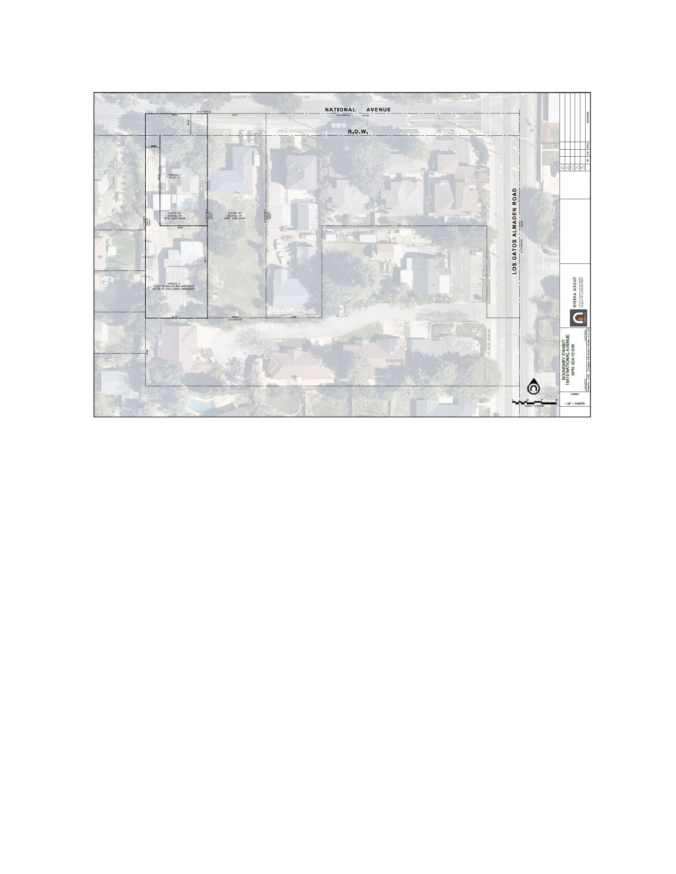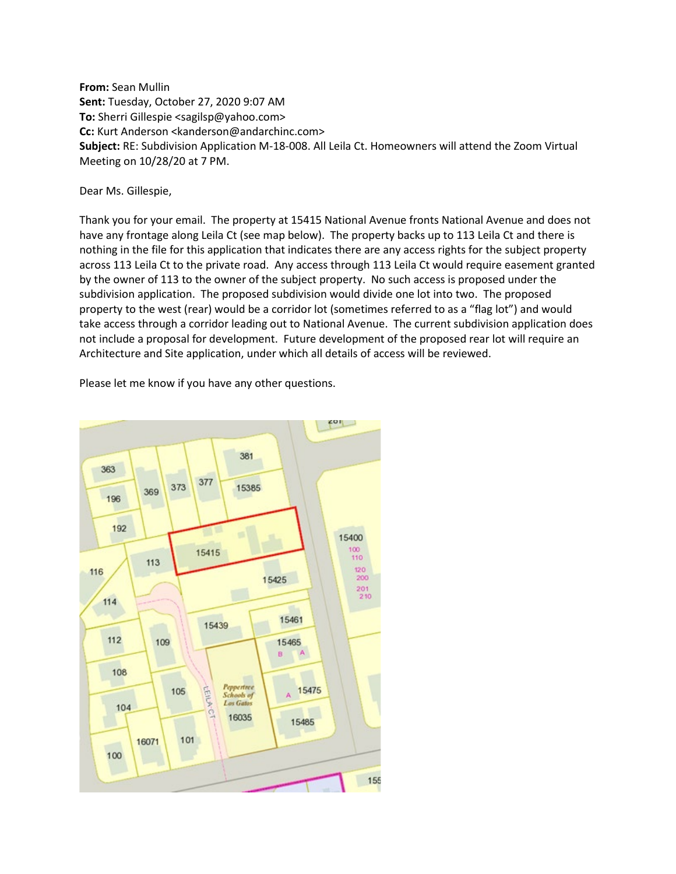**From:** Sean Mullin **Sent:** Tuesday, October 27, 2020 9:07 AM **To:** Sherri Gillespie <sagilsp@yahoo.com> **Cc:** Kurt Anderson <kanderson@andarchinc.com> **Subject:** RE: Subdivision Application M-18-008. All Leila Ct. Homeowners will attend the Zoom Virtual Meeting on 10/28/20 at 7 PM.

Dear Ms. Gillespie,

Thank you for your email. The property at 15415 National Avenue fronts National Avenue and does not have any frontage along Leila Ct (see map below). The property backs up to 113 Leila Ct and there is nothing in the file for this application that indicates there are any access rights for the subject property across 113 Leila Ct to the private road. Any access through 113 Leila Ct would require easement granted by the owner of 113 to the owner of the subject property. No such access is proposed under the subdivision application. The proposed subdivision would divide one lot into two. The proposed property to the west (rear) would be a corridor lot (sometimes referred to as a "flag lot") and would take access through a corridor leading out to National Avenue. The current subdivision application does not include a proposal for development. Future development of the proposed rear lot will require an Architecture and Site application, under which all details of access will be reviewed.



Please let me know if you have any other questions.